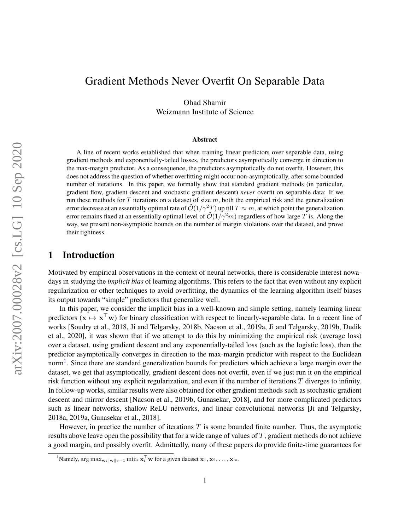# Gradient Methods Never Overfit On Separable Data

Ohad Shamir Weizmann Institute of Science

#### Abstract

A line of recent works established that when training linear predictors over separable data, using gradient methods and exponentially-tailed losses, the predictors asymptotically converge in direction to the max-margin predictor. As a consequence, the predictors asymptotically do not overfit. However, this does not address the question of whether overfitting might occur non-asymptotically, after some bounded number of iterations. In this paper, we formally show that standard gradient methods (in particular, gradient flow, gradient descent and stochastic gradient descent) *never* overfit on separable data: If we run these methods for T iterations on a dataset of size  $m$ , both the empirical risk and the generalization error decrease at an essentially optimal rate of  $\mathcal{O}(1/\gamma^2T)$  up till  $T \approx m$ , at which point the generalization error remains fixed at an essentially optimal level of  $\mathcal{O}(1/\gamma^2 m)$  regardless of how large T is. Along the way, we present non-asymptotic bounds on the number of margin violations over the dataset, and prove their tightness.

## 1 Introduction

Motivated by empirical observations in the context of neural networks, there is considerable interest nowadays in studying the *implicit bias* of learning algorithms. This refers to the fact that even without any explicit regularization or other techniques to avoid overfitting, the dynamics of the learning algorithm itself biases its output towards "simple" predictors that generalize well.

In this paper, we consider the implicit bias in a well-known and simple setting, namely learning linear predictors ( $x \mapsto x^{\top}w$ ) for binary classification with respect to linearly-separable data. In a recent line of works [\[Soudry et al.,](#page-12-0) [2018,](#page-12-0) [Ji and Telgarsky,](#page-11-0) [2018b,](#page-11-0) [Nacson et al.,](#page-11-1) [2019a,](#page-11-1) [Ji and Telgarsky,](#page-11-2) [2019b,](#page-11-2) [Dudik](#page-11-3) [et al.,](#page-11-3) [2020\]](#page-11-3), it was shown that if we attempt to do this by minimizing the empirical risk (average loss) over a dataset, using gradient descent and any exponentially-tailed loss (such as the logistic loss), then the predictor asymptotically converges in direction to the max-margin predictor with respect to the Euclidean norm<sup>[1](#page-0-0)</sup>. Since there are standard generalization bounds for predictors which achieve a large margin over the dataset, we get that asymptotically, gradient descent does not overfit, even if we just run it on the empirical risk function without any explicit regularization, and even if the number of iterations  $T$  diverges to infinity. In follow-up works, similar results were also obtained for other gradient methods such as stochastic gradient descent and mirror descent [\[Nacson et al.,](#page-11-4) [2019b,](#page-11-4) [Gunasekar,](#page-11-5) [2018\]](#page-11-5), and for more complicated predictors such as linear networks, shallow ReLU networks, and linear convolutional networks [\[Ji and Telgarsky,](#page-11-6) [2018a,](#page-11-6) [2019a,](#page-11-7) [Gunasekar et al.,](#page-11-8) [2018\]](#page-11-8).

However, in practice the number of iterations  $T$  is some bounded finite number. Thus, the asymptotic results above leave open the possibility that for a wide range of values of T, gradient methods do not achieve a good margin, and possibly overfit. Admittedly, many of these papers do provide finite-time guarantees for

<span id="page-0-0"></span><sup>&</sup>lt;sup>1</sup>Namely,  $\arg \max_{\mathbf{w}: \|\mathbf{w}\|_2=1} \min_i \mathbf{x}_i^\top \mathbf{w}$  for a given dataset  $\mathbf{x}_1, \mathbf{x}_2, \dots, \mathbf{x}_m$ .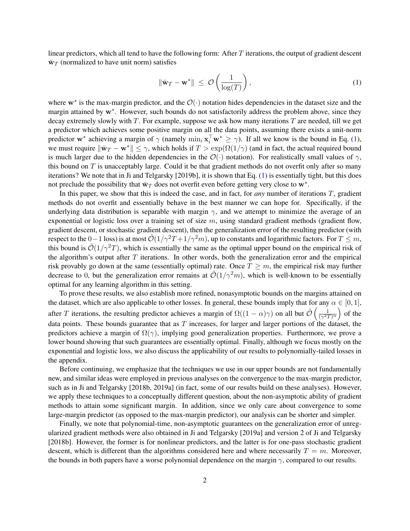linear predictors, which all tend to have the following form: After  $T$  iterations, the output of gradient descent  $\bar{w}_T$  (normalized to have unit norm) satisfies

<span id="page-1-0"></span>
$$
\|\bar{\mathbf{w}}_T - \mathbf{w}^*\| \le \mathcal{O}\left(\frac{1}{\log(T)}\right),\tag{1}
$$

where  $w^*$  is the max-margin predictor, and the  $\mathcal{O}(\cdot)$  notation hides dependencies in the dataset size and the margin attained by w<sup>∗</sup>. However, such bounds do not satisfactorily address the problem above, since they decay extremely slowly with  $T$ . For example, suppose we ask how many iterations  $T$  are needed, till we get a predictor which achieves some positive margin on all the data points, assuming there exists a unit-norm predictor w<sup>∗</sup> achieving a margin of  $\gamma$  (namely  $\min_i \mathbf{x}_i^{\top} \mathbf{w}^* \geq \gamma$ ). If all we know is the bound in Eq. [\(1\)](#page-1-0), we must require  $\|\bar{\mathbf{w}}_T - \mathbf{w}^*\| \leq \gamma$ , which holds if  $T > \exp(\Omega(1/\gamma))$  (and in fact, the actual required bound is much larger due to the hidden dependencies in the  $\mathcal{O}(\cdot)$  notation). For realistically small values of  $\gamma$ , this bound on  $T$  is unacceptably large. Could it be that gradient methods do not overfit only after so many iterations? We note that in [Ji and Telgarsky](#page-11-2) [\[2019b\]](#page-11-2), it is shown that Eq. [\(1\)](#page-1-0) is essentially tight, but this does not preclude the possibility that  $\bar{w}_T$  does not overfit even before getting very close to  $w^*$ .

In this paper, we show that this is indeed the case, and in fact, for *any* number of iterations T, gradient methods do not overfit and essentially behave in the best manner we can hope for. Specifically, if the underlying data distribution is separable with margin  $\gamma$ , and we attempt to minimize the average of an exponential or logistic loss over a training set of size  $m$ , using standard gradient methods (gradient flow, gradient descent, or stochastic gradient descent), then the generalization error of the resulting predictor (with respect to the 0−1 loss) is at most  $\tilde{\mathcal{O}}(1/\gamma^2T+1/\gamma^2m)$ , up to constants and logarithmic factors. For  $T \leq m$ , this bound is  $\tilde{\mathcal{O}}(1/\gamma^2 T)$ , which is essentially the same as the optimal upper bound on the empirical risk of the algorithm's output after  $T$  iterations. In other words, both the generalization error and the empirical risk provably go down at the same (essentially optimal) rate. Once  $T \geq m$ , the empirical risk may further decrease to 0, but the generalization error remains at  $\tilde{\mathcal{O}}(1/\gamma^2 m)$ , which is well-known to be essentially optimal for any learning algorithm in this setting.

To prove these results, we also establish more refined, nonasymptotic bounds on the margins attained on the dataset, which are also applicable to other losses. In general, these bounds imply that for any  $\alpha \in [0, 1]$ , after T iterations, the resulting predictor achieves a margin of  $\Omega((1-\alpha)\gamma)$  on all but  $\tilde{\mathcal{O}}\left(\frac{1}{\sqrt{27}}\right)$  $\frac{1}{(\gamma^2 T)^\alpha}$  of the data points. These bounds guarantee that as  $T$  increases, for larger and larger portions of the dataset, the predictors achieve a margin of  $\Omega(\gamma)$ , implying good generalization properties. Furthermore, we prove a lower bound showing that such guarantees are essentially optimal. Finally, although we focus mostly on the exponential and logistic loss, we also discuss the applicability of our results to polynomially-tailed losses in the appendix.

Before continuing, we emphasize that the techniques we use in our upper bounds are not fundamentally new, and similar ideas were employed in previous analyses on the convergence to the max-margin predictor, such as in [Ji and Telgarsky](#page-11-0) [\[2018b,](#page-11-0) [2019a\]](#page-11-7) (in fact, some of our results build on these analyses). However, we apply these techniques to a conceptually different question, about the non-asymptotic ability of gradient methods to attain some significant margin. In addition, since we only care about convergence to some large-margin predictor (as opposed to the max-margin predictor), our analysis can be shorter and simpler.

Finally, we note that polynomial-time, non-asymptotic guarantees on the generalization error of unregularized gradient methods were also obtained in [Ji and Telgarsky](#page-11-7) [\[2019a\]](#page-11-7) and version 2 of [Ji and Telgarsky](#page-11-0) [\[2018b\]](#page-11-0). However, the former is for nonlinear predictors, and the latter is for one-pass stochastic gradient descent, which is different than the algorithms considered here and where necessarily  $T = m$ . Moreover, the bounds in both papers have a worse polynomial dependence on the margin  $\gamma$ , compared to our results.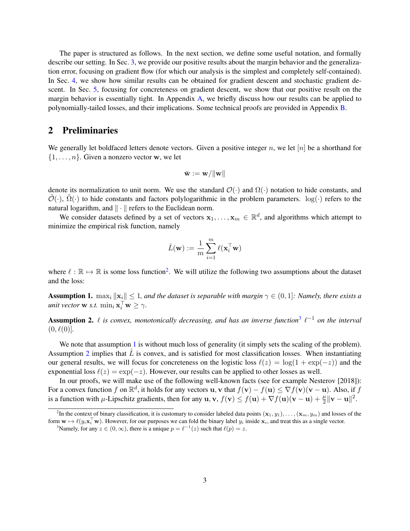The paper is structured as follows. In the next section, we define some useful notation, and formally describe our setting. In Sec. [3,](#page-3-0) we provide our positive results about the margin behavior and the generalization error, focusing on gradient flow (for which our analysis is the simplest and completely self-contained). In Sec. [4,](#page-6-0) we show how similar results can be obtained for gradient descent and stochastic gradient descent. In Sec. [5,](#page-9-0) focusing for concreteness on gradient descent, we show that our positive result on the margin behavior is essentially tight. In Appendix [A,](#page-12-1) we briefly discuss how our results can be applied to polynomially-tailed losses, and their implications. Some technical proofs are provided in Appendix [B.](#page-13-0)

### 2 Preliminaries

We generally let boldfaced letters denote vectors. Given a positive integer n, we let  $[n]$  be a shorthand for  $\{1, \ldots, n\}$ . Given a nonzero vector w, we let

$$
\bar{\mathbf{w}} := \mathbf{w}/\|\mathbf{w}\|
$$

denote its normalization to unit norm. We use the standard  $\mathcal{O}(\cdot)$  and  $\Omega(\cdot)$  notation to hide constants, and  $\hat{\mathcal{O}}(\cdot)$ ,  $\hat{\Omega}(\cdot)$  to hide constants and factors polylogarithmic in the problem parameters. log( $\cdot$ ) refers to the natural logarithm, and  $\|\cdot\|$  refers to the Euclidean norm.

We consider datasets defined by a set of vectors  $x_1, \ldots, x_m \in \mathbb{R}^d$ , and algorithms which attempt to minimize the empirical risk function, namely

$$
\hat{L}(\mathbf{w}) := \frac{1}{m}\sum_{i=1}^m \ell(\mathbf{x}_i^\top \mathbf{w})
$$

where  $\ell : \mathbb{R} \to \mathbb{R}$  is some loss function<sup>[2](#page-2-0)</sup>. We will utilize the following two assumptions about the dataset and the loss:

<span id="page-2-2"></span>**Assumption 1.** max<sub>i</sub>  $\|\mathbf{x}_i\| \leq 1$ , and the dataset is separable with margin  $\gamma \in (0, 1]$ : Namely, there exists a *unit vector* **w** *s.t.*  $\min_i \mathbf{x}_i^{\top} \mathbf{w} \geq \gamma$ .

<span id="page-2-3"></span>**Assumption 2.**  $\ell$  is convex, monotonically decreasing, and has an inverse function<sup>[3](#page-2-1)</sup>  $\ell^{-1}$  on the interval  $(0, \ell(0)].$ 

We note that assumption [1](#page-2-2) is without much loss of generality (it simply sets the scaling of the problem). Assumption [2](#page-2-3) implies that  $L$  is convex, and is satisfied for most classification losses. When instantiating our general results, we will focus for concreteness on the logistic loss  $\ell(z) = \log(1 + \exp(-z))$  and the exponential loss  $\ell(z) = \exp(-z)$ . However, our results can be applied to other losses as well.

In our proofs, we will make use of the following well-known facts (see for example [Nesterov](#page-11-9) [\[2018\]](#page-11-9)): For a convex function f on  $\mathbb{R}^d$ , it holds for any vectors  $\mathbf{u}, \mathbf{v}$  that  $f(\mathbf{v}) - f(\mathbf{u}) \le \nabla f(\mathbf{v})(\mathbf{v} - \mathbf{u})$ . Also, if f is a function with  $\mu$ -Lipschitz gradients, then for any  $\mathbf{u}, \mathbf{v}, f(\mathbf{v}) \le f(\mathbf{u}) + \nabla f(\mathbf{u})(\mathbf{v} - \mathbf{u}) + \frac{\mu}{2} ||\mathbf{v} - \mathbf{u}||^2$ .

<span id="page-2-0"></span><sup>&</sup>lt;sup>2</sup>In the context of binary classification, it is customary to consider labeled data points  $(x_1, y_1), \ldots, (x_m, y_m)$  and losses of the form  $\mathbf{w} \mapsto \ell(y_i \mathbf{x}_i^{\top} \mathbf{w})$ . However, for our purposes we can fold the binary label  $y_i$  inside  $\mathbf{x}_i$ , and treat this as a single vector.

<span id="page-2-1"></span><sup>&</sup>lt;sup>3</sup>Namely, for any  $z \in (0, \infty)$ , there is a unique  $p = \ell^{-1}(z)$  such that  $\ell(p) = z$ .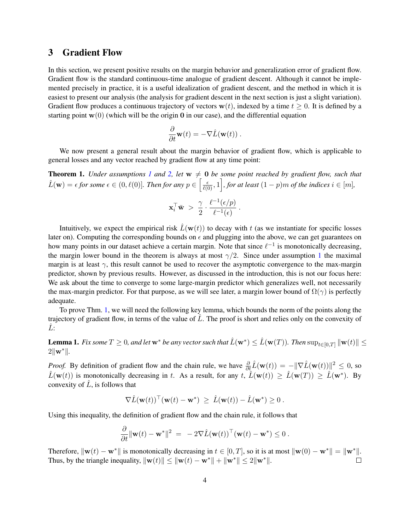### <span id="page-3-0"></span>3 Gradient Flow

In this section, we present positive results on the margin behavior and generalization error of gradient flow. Gradient flow is the standard continuous-time analogue of gradient descent. Although it cannot be implemented precisely in practice, it is a useful idealization of gradient descent, and the method in which it is easiest to present our analysis (the analysis for gradient descent in the next section is just a slight variation). Gradient flow produces a continuous trajectory of vectors  $w(t)$ , indexed by a time  $t \ge 0$ . It is defined by a starting point  $\mathbf{w}(0)$  (which will be the origin 0 in our case), and the differential equation

$$
\frac{\partial}{\partial t}\mathbf{w}(t) = -\nabla \hat{L}(\mathbf{w}(t)) .
$$

We now present a general result about the margin behavior of gradient flow, which is applicable to general losses and any vector reached by gradient flow at any time point:

<span id="page-3-1"></span>**Theorem [1](#page-2-2).** *Under assumptions 1 and* [2,](#page-2-3) *let*  $w \neq 0$  *be some point reached by gradient flow, such that*  $\hat{L}(\mathbf{w}) = \epsilon$  for some  $\epsilon \in (0, \ell(0)]$ . Then for any  $p \in \left[\frac{\epsilon}{\ell(0)}, 1\right]$ , for at least  $(1-p)m$  of the indices  $i \in [m]$ ,

$$
\mathbf{x}_i^{\top} \bar{\mathbf{w}} > \frac{\gamma}{2} \cdot \frac{\ell^{-1}(\epsilon/p)}{\ell^{-1}(\epsilon)}.
$$

Intuitively, we expect the empirical risk  $\hat{L}(\mathbf{w}(t))$  to decay with t (as we instantiate for specific losses later on). Computing the corresponding bounds on  $\epsilon$  and plugging into the above, we can get guarantees on how many points in our dataset achieve a certain margin. Note that since  $\ell^{-1}$  is monotonically decreasing, the margin lower bound in the theorem is always at most  $\gamma/2$ . Since under assumption [1](#page-2-2) the maximal margin is at least  $\gamma$ , this result cannot be used to recover the asymptotic convergence to the max-margin predictor, shown by previous results. However, as discussed in the introduction, this is not our focus here: We ask about the time to converge to some large-margin predictor which generalizes well, not necessarily the max-margin predictor. For that purpose, as we will see later, a margin lower bound of  $\Omega(\gamma)$  is perfectly adequate.

To prove Thm. [1,](#page-3-1) we will need the following key lemma, which bounds the norm of the points along the trajectory of gradient flow, in terms of the value of  $\tilde{L}$ . The proof is short and relies only on the convexity of Lˆ:

<span id="page-3-2"></span>Lemma 1. *Fix some*  $T \ge 0$ *, and let*  $w^*$  *be any vector such that*  $\hat{L}(w^*) \le \hat{L}(w(T))$ . Then  $\sup_{t \in [0,T]} \|w(t)\| \le$  $2\|\mathbf{w}^*\|$ .

*Proof.* By definition of gradient flow and the chain rule, we have  $\frac{\partial}{\partial t}\hat{L}(\mathbf{w}(t)) = -\|\nabla \hat{L}(\mathbf{w}(t))\|^2 \leq 0$ , so  $\hat{L}(\mathbf{w}(t))$  is monotonically decreasing in t. As a result, for any  $t, \hat{L}(\mathbf{w}(t)) \geq \hat{L}(\mathbf{w}(T)) \geq \hat{L}(\mathbf{w}^*)$ . By convexity of  $L$ , is follows that

$$
\nabla \hat{L}(\mathbf{w}(t))^{\top}(\mathbf{w}(t) - \mathbf{w}^*) \ \geq \ \hat{L}(\mathbf{w}(t)) - \hat{L}(\mathbf{w}^*) \geq 0 \ .
$$

Using this inequality, the definition of gradient flow and the chain rule, it follows that

$$
\frac{\partial}{\partial t} \|\mathbf{w}(t) - \mathbf{w}^*\|^2 = -2\nabla \hat{L}(\mathbf{w}(t))^\top (\mathbf{w}(t) - \mathbf{w}^*) \leq 0.
$$

Therefore,  $\|\mathbf{w}(t) - \mathbf{w}^*\|$  is monotonically decreasing in  $t \in [0, T]$ , so it is at most  $\|\mathbf{w}(0) - \mathbf{w}^*\| = \|\mathbf{w}^*\|$ . Thus, by the triangle inequality,  $\|\mathbf{w}(t)\| \leq \|\mathbf{w}(t) - \mathbf{w}^*\| + \|\mathbf{w}^*\| \leq 2\|\mathbf{w}^*\|.$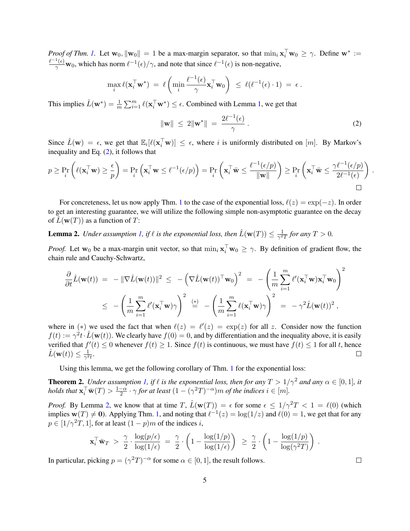*Proof of Thm.* [1.](#page-3-1) Let  $\mathbf{w}_0$ ,  $\|\mathbf{w}_0\| = 1$  be a max-margin separator, so that  $\min_i \mathbf{x}_i^{\top} \mathbf{w}_0 \ge \gamma$ . Define  $\mathbf{w}^* :=$  $\ell^{-1}(\epsilon)$  $\frac{f(\epsilon)}{\gamma}$  w<sub>0</sub>, which has norm  $\ell^{-1}(\epsilon)/\gamma$ , and note that since  $\ell^{-1}(\epsilon)$  is non-negative,

$$
\max_{i} \ell(\mathbf{x}_i^{\top} \mathbf{w}^*) = \ell \left( \min_{i} \frac{\ell^{-1}(\epsilon)}{\gamma} \mathbf{x}_i^{\top} \mathbf{w}_0 \right) \leq \ell(\ell^{-1}(\epsilon) \cdot 1) = \epsilon.
$$

This implies  $\hat{L}(\mathbf{w}^*) = \frac{1}{m} \sum_{i=1}^m \ell(\mathbf{x}_i^{\top} \mathbf{w}^*) \le \epsilon$ . Combined with Lemma [1,](#page-3-2) we get that

<span id="page-4-0"></span>
$$
\|\mathbf{w}\| \le 2\|\mathbf{w}^*\| = \frac{2\ell^{-1}(\epsilon)}{\gamma} \,.
$$

Since  $\hat{L}(\mathbf{w}) = \epsilon$ , we get that  $\mathbb{E}_i[\ell(\mathbf{x}_i^{\top}\mathbf{w})] \leq \epsilon$ , where i is uniformly distributed on  $[m]$ . By Markov's inequality and Eq. [\(2\)](#page-4-0), it follows that

$$
p \ge \Pr_i \left( \ell(\mathbf{x}_i^{\top} \mathbf{w}) \ge \frac{\epsilon}{p} \right) = \Pr_i \left( \mathbf{x}_i^{\top} \mathbf{w} \le \ell^{-1}(\epsilon/p) \right) = \Pr_i \left( \mathbf{x}_i^{\top} \bar{\mathbf{w}} \le \frac{\ell^{-1}(\epsilon/p)}{\|\mathbf{w}\|} \right) \ge \Pr_i \left( \mathbf{x}_i^{\top} \bar{\mathbf{w}} \le \frac{\gamma \ell^{-1}(\epsilon/p)}{2\ell^{-1}(\epsilon)} \right)
$$

For concreteness, let us now apply Thm. [1](#page-3-1) to the case of the exponential loss,  $\ell(z) = \exp(-z)$ . In order to get an interesting guarantee, we will utilize the following simple non-asymptotic guarantee on the decay of  $\hat{L}(\mathbf{w}(T))$  as a function of T:

<span id="page-4-1"></span>**Lemma 2.** *Under assumption [1,](#page-2-2) if*  $\ell$  *is the exponential loss, then*  $\hat{L}(\mathbf{w}(T)) \leq \frac{1}{\gamma^2}$  $\frac{1}{\gamma^2 T}$  for any  $T > 0$ .

*Proof.* Let w<sub>0</sub> be a max-margin unit vector, so that  $\min_i \mathbf{x}_i^{\top} \mathbf{w}_0 \geq \gamma$ . By definition of gradient flow, the chain rule and Cauchy-Schwartz,

$$
\frac{\partial}{\partial t}\hat{L}(\mathbf{w}(t)) = -\|\nabla \hat{L}(\mathbf{w}(t))\|^2 \leq -\left(\nabla \hat{L}(\mathbf{w}(t))^{\top} \mathbf{w}_0\right)^2 = -\left(\frac{1}{m} \sum_{i=1}^m \ell'(\mathbf{x}_i^{\top} \mathbf{w}) \mathbf{x}_i^{\top} \mathbf{w}_0\right)^2
$$
\n
$$
\leq -\left(\frac{1}{m} \sum_{i=1}^m \ell'(\mathbf{x}_i^{\top} \mathbf{w}) \gamma\right)^2 \stackrel{(*)}{=} -\left(\frac{1}{m} \sum_{i=1}^m \ell(\mathbf{x}_i^{\top} \mathbf{w}) \gamma\right)^2 = -\gamma^2 \hat{L}(\mathbf{w}(t))^2,
$$

where in (\*) we used the fact that when  $\ell(z) = \ell'(z) = \exp(z)$  for all z. Consider now the function  $f(t) := \gamma^2 t \cdot \hat{L}(\mathbf{w}(t))$ . We clearly have  $f(0) = 0$ , and by differentiation and the inequality above, it is easily verified that  $f'(t) \leq 0$  whenever  $f(t) \geq 1$ . Since  $f(t)$  is continuous, we must have  $f(t) \leq 1$  for all t, hence  $\hat{L}(\mathbf{w}(t)) \leq \frac{1}{\gamma^2}$  $\frac{1}{\gamma^2 t}$ .  $\Box$ 

Using this lemma, we get the following corollary of Thm. [1](#page-3-1) for the exponential loss:

<span id="page-4-2"></span>**Theorem 2.** *Under assumption [1,](#page-2-2) if*  $\ell$  *is the exponential loss, then for any*  $T > 1/\gamma^2$  *and any*  $\alpha \in [0, 1]$ *, it holds that*  $\mathbf{x}_i^\top \bar{\mathbf{w}}(T) > \frac{1-\alpha}{2}$  $\frac{-\alpha}{2} \cdot \gamma$  for at least  $(1 - (\gamma^2 T)^{-\alpha})m$  of the indices  $i \in [m]$ .

*Proof.* By Lemma [2,](#page-4-1) we know that at time  $T$ ,  $\hat{L}(\mathbf{w}(T)) = \epsilon$  for some  $\epsilon \leq 1/\gamma^2 T < 1 = \ell(0)$  (which implies  $w(T) \neq 0$ ). Applying Thm. [1,](#page-3-1) and noting that  $\ell^{-1}(z) = \log(1/z)$  and  $\ell(0) = 1$ , we get that for any  $p \in [1/\gamma^2 T, 1]$ , for at least  $(1 - p)m$  of the indices i,

$$
\mathbf{x}_i^{\top} \bar{\mathbf{w}}_T > \frac{\gamma}{2} \cdot \frac{\log(p/\epsilon)}{\log(1/\epsilon)} = \frac{\gamma}{2} \cdot \left(1 - \frac{\log(1/p)}{\log(1/\epsilon)}\right) \ge \frac{\gamma}{2} \cdot \left(1 - \frac{\log(1/p)}{\log(\gamma^2 T)}\right)
$$

In particular, picking  $p = (\gamma^2 T)^{-\alpha}$  for some  $\alpha \in [0, 1]$ , the result follows.

 $\Box$ 

.

.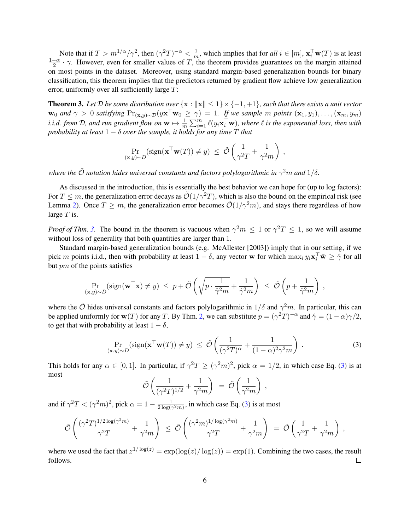Note that if  $T > m^{1/\alpha}/\gamma^2$ , then  $(\gamma^2 T)^{-\alpha} < \frac{1}{n}$  $\frac{1}{m}$ , which implies that for *all*  $i \in [m]$ ,  $\mathbf{x}_i^{\top} \bar{\mathbf{w}}(T)$  is at least  $1-\alpha$  $\frac{-\alpha}{2} \cdot \gamma$ . However, even for smaller values of T, the theorem provides guarantees on the margin attained on most points in the dataset. Moreover, using standard margin-based generalization bounds for binary classification, this theorem implies that the predictors returned by gradient flow achieve low generalization error, uniformly over all sufficiently large T:

<span id="page-5-0"></span>**Theorem 3.** Let  $\mathcal{D}$  be some distribution over  $\{x : ||x|| \leq 1\} \times \{-1, +1\}$ , such that there exists a unit vector  $\mathbf{w}_0$  *and*  $\gamma > 0$  *satisfying*  $\Pr_{(\mathbf{x},y) \sim \mathcal{D}}(y\mathbf{x}^\top \mathbf{w}_0 \geq \gamma) = 1$ . If we sample m points  $(\mathbf{x}_1, y_1), \ldots, (\mathbf{x}_m, y_m)$ *i.i.d. from* D, and run gradient flow on  $w \mapsto \frac{1}{m} \sum_{i=1}^{m} \ell(y_i \mathbf{x}_i^{\top} w)$ , where  $\ell$  is the exponential loss, then with *probability at least*  $1 - \delta$  *over the sample, it holds for any time*  $T$  *that* 

$$
\Pr_{(\mathbf{x},y)\sim D}(\text{sign}(\mathbf{x}^\top \mathbf{w}(T)) \neq y) \leq \tilde{\mathcal{O}}\left(\frac{1}{\gamma^2 T} + \frac{1}{\gamma^2 m}\right),
$$

where the  $\tilde{\cal O}$  notation hides universal constants and factors polylogarithmic in  $\gamma^2 m$  and  $1/\delta.$ 

As discussed in the introduction, this is essentially the best behavior we can hope for (up to log factors): For  $T \leq m$ , the generalization error decays as  $\mathcal{O}(1/\gamma^2 T)$ , which is also the bound on the empirical risk (see Lemma [2\)](#page-4-1). Once  $T \geq m$ , the generalization error becomes  $\tilde{\mathcal{O}}(1/\gamma^2 m)$ , and stays there regardless of how large  $T$  is.

*Proof of Thm.* [3.](#page-5-0) The bound in the theorem is vacuous when  $\gamma^2 m \leq 1$  or  $\gamma^2 T \leq 1$ , so we will assume without loss of generality that both quantities are larger than 1.

Standard margin-based generalization bounds (e.g. [McAllester](#page-11-10) [\[2003\]](#page-11-10)) imply that in our setting, if we pick m points i.i.d., then with probability at least  $1 - \delta$ , any vector w for which  $\max_i y_i \mathbf{x}_i^\top \bar{\mathbf{w}} \geq \hat{\gamma}$  for all but pm of the points satisfies

$$
\Pr_{(\mathbf{x},y)\sim D}(\text{sign}(\mathbf{w}^{\top}\mathbf{x}) \neq y) \leq p + \tilde{\mathcal{O}}\left(\sqrt{p \cdot \frac{1}{\hat{\gamma}^2 m}} + \frac{1}{\hat{\gamma}^2 m}\right) \leq \tilde{\mathcal{O}}\left(p + \frac{1}{\hat{\gamma}^2 m}\right),
$$

where the  $\tilde{O}$  hides universal constants and factors polylogarithmic in  $1/\delta$  and  $\gamma^2 m$ . In particular, this can be applied uniformly for  $w(T)$  for any T. By Thm. [2,](#page-4-2) we can substitute  $p = (\gamma^2 T)^{-\alpha}$  and  $\hat{\gamma} = (1 - \alpha)\gamma/2$ , to get that with probability at least  $1 - \delta$ ,

<span id="page-5-1"></span>
$$
\Pr_{(\mathbf{x},y)\sim D}(\text{sign}(\mathbf{x}^{\top}\mathbf{w}(T)) \neq y) \leq \tilde{\mathcal{O}}\left(\frac{1}{(\gamma^2T)^{\alpha}} + \frac{1}{(1-\alpha)^2\gamma^2m}\right). \tag{3}
$$

This holds for any  $\alpha \in [0,1]$ . In particular, if  $\gamma^2 T \ge (\gamma^2 m)^2$ , pick  $\alpha = 1/2$ , in which case Eq. [\(3\)](#page-5-1) is at most

$$
\tilde{\mathcal{O}}\left(\frac{1}{(\gamma^2 T)^{1/2}} + \frac{1}{\gamma^2 m}\right) = \tilde{\mathcal{O}}\left(\frac{1}{\gamma^2 m}\right),
$$

and if  $\gamma^2 T < (\gamma^2 m)^2$ , pick  $\alpha = 1 - \frac{1}{2 \log \sqrt{2}}$  $\frac{1}{2 \log(\gamma^2 m)}$ , in which case Eq. [\(3\)](#page-5-1) is at most

$$
\tilde{\mathcal{O}}\left(\frac{(\gamma^2 T)^{1/2 \log(\gamma^2 m)}}{\gamma^2 T} + \frac{1}{\gamma^2 m}\right) \leq \tilde{\mathcal{O}}\left(\frac{(\gamma^2 m)^{1/\log(\gamma^2 m)}}{\gamma^2 T} + \frac{1}{\gamma^2 m}\right) = \tilde{\mathcal{O}}\left(\frac{1}{\gamma^2 T} + \frac{1}{\gamma^2 m}\right),
$$

where we used the fact that  $z^{1/\log(z)} = \exp(\log(z)/\log(z)) = \exp(1)$ . Combining the two cases, the result follows.  $\Box$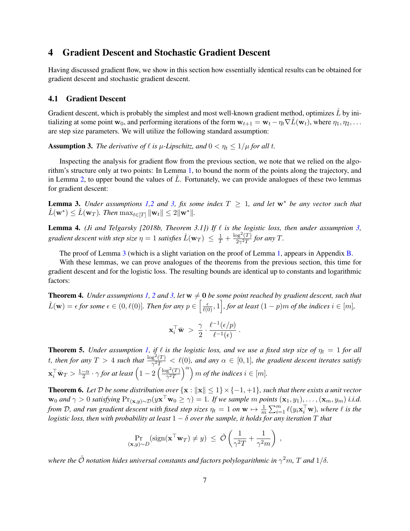### <span id="page-6-0"></span>4 Gradient Descent and Stochastic Gradient Descent

Having discussed gradient flow, we show in this section how essentially identical results can be obtained for gradient descent and stochastic gradient descent.

#### 4.1 Gradient Descent

Gradient descent, which is probably the simplest and most well-known gradient method, optimizes  $L$  by initializing at some point w<sub>0</sub>, and performing iterations of the form  $w_{t+1} = w_t - \eta_t \nabla L(w_t)$ , where  $\eta_1, \eta_2, \ldots$ are step size parameters. We will utilize the following standard assumption:

<span id="page-6-1"></span>**Assumption 3.** *The derivative of*  $\ell$  *is*  $\mu$ *-Lipschitz, and*  $0 < \eta_t \leq 1/\mu$  *for all t.* 

Inspecting the analysis for gradient flow from the previous section, we note that we relied on the algorithm's structure only at two points: In Lemma [1,](#page-3-2) to bound the norm of the points along the trajectory, and in Lemma [2,](#page-4-1) to upper bound the values of  $L$ . Fortunately, we can provide analogues of these two lemmas for gradient descent:

<span id="page-6-2"></span>**Lemma 3.** *Under assumptions* [1,](#page-2-2)[2](#page-2-3) *and* [3,](#page-6-1) *fix some index*  $T \geq 1$ *, and let*  $w^*$  *be any vector such that*  $\hat{L}(\mathbf{w}^*) \leq \hat{L}(\mathbf{w}_T)$ . Then  $\max_{t \in [T]} \|\mathbf{w}_t\| \leq 2 \|\mathbf{w}^*\|.$ 

<span id="page-6-3"></span>**Lemma 4.** *[\(Ji and Telgarsky](#page-11-0) [\[2018b,](#page-11-0) Theorem 3.1]) If*  $\ell$  *is the logistic loss, then under assumption [3,](#page-6-1)* gradient descent with step size  $\eta=1$  satisfies  $\hat{L}({\bf w}_T) \ \leq \ \frac{1}{T} + \frac{\log^2(T)}{2\gamma^2 T}$  $\frac{p_g(1)}{2\gamma^2T}$  for any T.

The proof of Lemma [3](#page-6-2) (which is a slight variation on the proof of Lemma [1,](#page-3-2) appears in Appendix [B.](#page-13-0)

With these lemmas, we can prove analogues of the theorems from the previous section, this time for gradient descent and for the logistic loss. The resulting bounds are identical up to constants and logarithmic factors:

<span id="page-6-4"></span>**Theorem 4.** *Under assumptions* [1,](#page-2-2) [2](#page-2-3) *and* [3,](#page-6-1) let  $w \neq 0$  *be some point reached by gradient descent, such that*  $\hat{L}(\mathbf{w}) = \epsilon$  for some  $\epsilon \in (0, \ell(0)]$ . Then for any  $p \in \left[\frac{\epsilon}{\ell(0)}, 1\right]$ , for at least  $(1-p)m$  of the indices  $i \in [m]$ ,

$$
\mathbf{x}_i^{\top} \bar{\mathbf{w}} > \frac{\gamma}{2} \cdot \frac{\ell^{-1}(\epsilon/p)}{\ell^{-1}(\epsilon)}.
$$

<span id="page-6-5"></span>**Theorem 5.** *Under assumption [1,](#page-2-2) if*  $\ell$  *is the logistic loss, and we use a fixed step size of*  $\eta_t = 1$  *for all* t, then for any  $T > 4$  such that  $\frac{\log^2(T)}{e^{2T}}$  $\frac{g^2(1)}{\gamma^2 T} < l(0)$ , and any  $\alpha \in [0,1]$ , the gradient descent iterates satisfy  $\mathbf{x}_i^{\top} \bar{\mathbf{w}}_T > \frac{1-\alpha}{2}$  $\frac{-\alpha}{2} \cdot \gamma$  for at least  $\left( 1 - 2 \left( \frac{\log^2(T)}{\gamma^2 T} \right) \right)$  $\left(\frac{g^2(T)}{\gamma^2 T}\right)^{\alpha}$  *m of the indices*  $i \in [m]$ *.* 

<span id="page-6-6"></span>**Theorem 6.** Let  $D$  be some distribution over  $\{x : ||x|| \leq 1\} \times \{-1, +1\}$ , such that there exists a unit vector  $\mathbf{w}_0$  and  $\gamma > 0$  satisfying  $\Pr_{(\mathbf{x},y) \sim \mathcal{D}}(y\mathbf{x}^\top \mathbf{w}_0 \geq \gamma) = 1$ . If we sample  $m$  points  $(\mathbf{x}_1, y_1), \ldots, (\mathbf{x}_m, y_m)$  i.i.d. from D, and run gradient descent with fixed step sizes  $\eta_t = 1$  on  $w \mapsto \frac{1}{m} \sum_{i=1}^m \ell(y_i \mathbf{x}_i^\top \mathbf{w})$ , where  $\ell$  is the *logistic loss, then with probability at least*  $1 - \delta$  *over the sample, it holds for any iteration* T *that* 

$$
\Pr_{(\mathbf{x}, y) \sim D}(\text{sign}(\mathbf{x}^\top \mathbf{w}_T) \neq y) \leq \tilde{\mathcal{O}}\left(\frac{1}{\gamma^2 T} + \frac{1}{\gamma^2 m}\right)
$$

,

where the  $\tilde{\mathcal{O}}$  notation hides universal constants and factors polylogarithmic in  $\gamma^2 m$ ,  $T$  and  $1/\delta$ .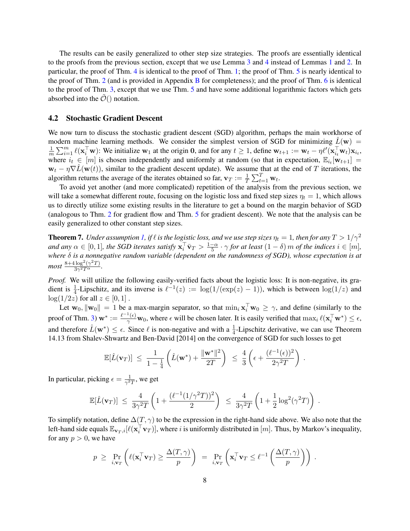The results can be easily generalized to other step size strategies. The proofs are essentially identical to the proofs from the previous section, except that we use Lemma [3](#page-6-2) and [4](#page-6-3) instead of Lemmas [1](#page-3-2) and [2.](#page-4-1) In particular, the proof of Thm. [4](#page-6-4) is identical to the proof of Thm. [1;](#page-3-1) the proof of Thm. [5](#page-6-5) is nearly identical to the proof of Thm. [2](#page-4-2) (and is provided in Appendix [B](#page-13-0) for completeness); and the proof of Thm. [6](#page-6-6) is identical to the proof of Thm. [3,](#page-5-0) except that we use Thm. [5](#page-6-5) and have some additional logarithmic factors which gets absorbed into the  $\mathcal{O}(x)$  notation.

#### 4.2 Stochastic Gradient Descent

We now turn to discuss the stochastic gradient descent (SGD) algorithm, perhaps the main workhorse of modern machine learning methods. We consider the simplest version of SGD for minimizing  $\hat{L}(\mathbf{w}) =$ 1  $\frac{1}{m}\sum_{i=1}^m \ell(\mathbf{x}_i^{\top}\mathbf{w})$ : We initialize w<sub>1</sub> at the origin 0, and for any  $t \geq 1$ , define  $\mathbf{w}_{t+1} := \mathbf{w}_t - \eta \ell'(\mathbf{x}_{i_t}^{\top}\mathbf{w}_t)\mathbf{x}_{i_t}$ , where  $i_t \in [m]$  is chosen independently and uniformly at random (so that in expectation,  $\mathbb{E}_{i_t}[\mathbf{w}_{t+1}] =$  $w_t - \eta \nabla \hat{L}(w(t))$ , similar to the gradient descent update). We assume that at the end of T iterations, the algorithm returns the average of the iterates obtained so far,  $\mathbf{v}_T := \frac{1}{T} \sum_{t=1}^T \mathbf{w}_t$ .

To avoid yet another (and more complicated) repetition of the analysis from the previous section, we will take a somewhat different route, focusing on the logistic loss and fixed step sizes  $\eta_t = 1$ , which allows us to directly utilize some existing results in the literature to get a bound on the margin behavior of SGD (analogous to Thm. [2](#page-4-2) for gradient flow and Thm. [5](#page-6-5) for gradient descent). We note that the analysis can be easily generalized to other constant step sizes.

<span id="page-7-0"></span>**Theorem 7.** *Under assumption [1,](#page-2-2) if*  $\ell$  *is the logistic loss, and we use step sizes*  $\eta_t = 1$ *, then for any*  $T > 1/\gamma^2$ and any  $\alpha \in [0,1]$ , the SGD iterates satisfy  $\mathbf{x}_i^{\top} \bar{\mathbf{v}}_T > \frac{1-\alpha}{5}$  $\frac{-\alpha}{5} \cdot \gamma$  *for at least*  $(1 - \delta)$  *m of the indices*  $i \in [m]$ *, where* δ *is a nonnegative random variable (dependent on the randomness of SGD), whose expectation is at most*  $\frac{8+4\log^2(\gamma^2T)}{3\gamma^2T^{\alpha}}$  $rac{\log (\gamma - 1)}{3\gamma^2 T^{\alpha}}$ .

*Proof.* We will utilize the following easily-verified facts about the logistic loss: It is non-negative, its gradient is  $\frac{1}{4}$ -Lipschitz, and its inverse is  $\ell^{-1}(z) := \log(1/(\exp(z) - 1))$ , which is between  $\log(1/z)$  and  $log(1/2z)$  for all  $z \in [0,1]$ .

Let  $\mathbf{w}_0$ ,  $\|\mathbf{w}_0\| = 1$  be a max-margin separator, so that  $\min_i \mathbf{x}_i^{\top} \mathbf{w}_0 \ge \gamma$ , and define (similarly to the proof of Thm. [3\)](#page-5-0)  $\mathbf{w}^* := \frac{\ell^{-1}(\epsilon)}{\gamma}$  $\frac{f(\epsilon)}{\gamma}$  w<sub>0</sub>, where  $\epsilon$  will be chosen later. It is easily verified that  $\max_i \ell(\mathbf{x}_i^{\top} \mathbf{w}^*) \leq \epsilon$ , and therefore  $\hat{L}(\mathbf{w}^*) \leq \epsilon$ . Since  $\ell$  is non-negative and with a  $\frac{1}{4}$ -Lipschitz derivative, we can use Theorem 14.13 from [Shalev-Shwartz and Ben-David](#page-11-11) [\[2014\]](#page-11-11) on the convergence of SGD for such losses to get

$$
\mathbb{E}[\hat{L}(\mathbf{v}_T)] \leq \frac{1}{1-\frac{1}{4}} \left( \hat{L}(\mathbf{w}^*) + \frac{\|\mathbf{w}^*\|^2}{2T} \right) \leq \frac{4}{3} \left( \epsilon + \frac{(\ell^{-1}(\epsilon))^2}{2\gamma^2 T} \right).
$$

In particular, picking  $\epsilon = \frac{1}{\sqrt{2}}$  $\frac{1}{\gamma^2 T}$ , we get

$$
\mathbb{E}[\hat{L}(\mathbf{v}_T)] \leq \frac{4}{3\gamma^2 T} \left( 1 + \frac{(\ell^{-1}(1/\gamma^2 T))^2}{2} \right) \leq \frac{4}{3\gamma^2 T} \left( 1 + \frac{1}{2} \log^2(\gamma^2 T) \right).
$$

To simplify notation, define  $\Delta(T, \gamma)$  to be the expression in the right-hand side above. We also note that the left-hand side equals  $\mathbb{E}_{\mathbf{v}_T,i}[\ell(\mathbf{x}_i^\top \mathbf{v}_T)],$  where i is uniformly distributed in  $[m]$ . Thus, by Markov's inequality, for any  $p > 0$ , we have

$$
p \geq \Pr_{i, \mathbf{v}_T} \left( \ell(\mathbf{x}_i^\top \mathbf{v}_T) \geq \frac{\Delta(T, \gamma)}{p} \right) = \Pr_{i, \mathbf{v}_T} \left( \mathbf{x}_i^\top \mathbf{v}_T \leq \ell^{-1} \left( \frac{\Delta(T, \gamma)}{p} \right) \right) .
$$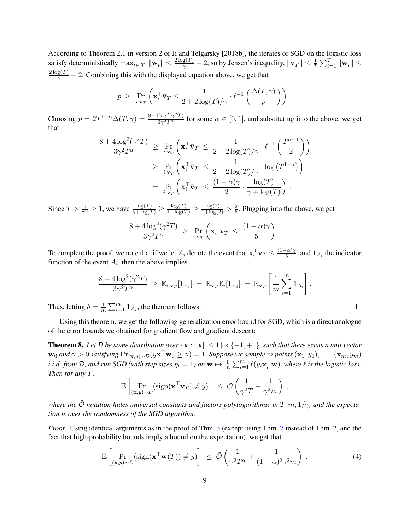According to Theorem 2.1 in version 2 of [Ji and Telgarsky](#page-11-0) [\[2018b\]](#page-11-0), the iterates of SGD on the logistic loss satisfy deterministically  $\max_{t\in[T]}\|\mathbf{w}_t\|\leq \frac{2\log(T)}{\gamma}+2$ , so by Jensen's inequality,  $\|\mathbf{v}_T\|\leq \frac{1}{T}\sum_{t=1}^T\|\mathbf{w}_t\|\leq \frac{1}{T}$  $\frac{2 \log(T)}{\gamma}$  + 2. Combining this with the displayed equation above, we get that

$$
p \geq \Pr_{i, \mathbf{v}_T} \left( \mathbf{x}_i^\top \bar{\mathbf{v}}_T \leq \frac{1}{2 + 2 \log(T) / \gamma} \cdot \ell^{-1} \left( \frac{\Delta(T, \gamma)}{p} \right) \right) .
$$

Choosing  $p = 2T^{1-\alpha} \Delta(T, \gamma) = \frac{8 + 4 \log^2(\gamma^2 T)}{3 \alpha^2 T^{\alpha}}$  $\frac{3\sqrt{2}\cos(\sqrt{2}t)}{3\sqrt{2}\cos(\sqrt{2}t)}$  for some  $\alpha \in [0, 1]$ , and substituting into the above, we get that

$$
\frac{8 + 4\log^2(\gamma^2 T)}{3\gamma^2 T^{\alpha}} \ge \Pr_{i, \mathbf{v}_T} \left( \mathbf{x}_i^\top \bar{\mathbf{v}}_T \le \frac{1}{2 + 2\log(T)/\gamma} \cdot \ell^{-1} \left( \frac{T^{\alpha - 1}}{2} \right) \right)
$$
  

$$
\ge \Pr_{i, \mathbf{v}_T} \left( \mathbf{x}_i^\top \bar{\mathbf{v}}_T \le \frac{1}{2 + 2\log(T)/\gamma} \cdot \log(T^{1 - \alpha}) \right)
$$
  

$$
= \Pr_{i, \mathbf{v}_T} \left( \mathbf{x}_i^\top \bar{\mathbf{v}}_T \le \frac{(1 - \alpha)\gamma}{2} \cdot \frac{\log(T)}{\gamma + \log(T)} \right).
$$

Since  $T > \frac{1}{\gamma^2} \ge 1$ , we have  $\frac{\log(T)}{\gamma + \log(T)} \ge \frac{\log(T)}{1 + \log(T)} \ge \frac{\log(2)}{1 + \log(2)} > \frac{2}{5}$  $\frac{2}{5}$ . Plugging into the above, we get

$$
\frac{8 + 4\log^2(\gamma^2 T)}{3\gamma^2 T^{\alpha}} \ge \Pr_{i,\mathbf{v}_T} \left( \mathbf{x}_i^{\top} \bar{\mathbf{v}}_T \le \frac{(1-\alpha)\gamma}{5} \right)
$$

.

To complete the proof, we note that if we let  $A_i$  denote the event that  $\mathbf{x}_i^\top \bar{\mathbf{v}}_T \leq \frac{(1-\alpha)\gamma}{5}$  $\frac{\partial^2 N}{\partial x^2}$ , and  $\mathbf{1}_{A_i}$  the indicator function of the event  $A_i$ , then the above implies

$$
\frac{8+4\log^2(\gamma^2T)}{3\gamma^2T^{\alpha}} \geq \mathbb{E}_{i,\mathbf{v}_T}[\mathbf{1}_{A_i}] = \mathbb{E}_{\mathbf{v}_T}\mathbb{E}_i[\mathbf{1}_{A_i}] = \mathbb{E}_{\mathbf{v}_T}\left[\frac{1}{m}\sum_{i=1}^m \mathbf{1}_{A_i}\right].
$$

Thus, letting  $\delta = \frac{1}{m}$  $\frac{1}{m}\sum_{i=1}^{m} \mathbf{1}_{A_i}$ , the theorem follows.

Using this theorem, we get the following generalization error bound for SGD, which is a direct analogue of the error bounds we obtained for gradient flow and gradient descent:

<span id="page-8-1"></span>**Theorem 8.** Let D be some distribution over  $\{x : ||x|| \leq 1\} \times \{-1, +1\}$ , such that there exists a unit vector  $w_0$  and  $\gamma > 0$  satisfying  $\Pr_{(\mathbf{x},y) \sim \mathcal{D}}(y\mathbf{x}^\top \mathbf{w}_0 \geq \gamma) = 1$ . Suppose we sample  $m$  points  $(\mathbf{x}_1, y_1), \ldots, (\mathbf{x}_m, y_m)$ *i.i.d. from* D, and run SGD (with step sizes  $\eta_t = 1$ ) on  $\mathbf{w} \mapsto \frac{1}{m} \sum_{i=1}^m \ell(y_i \mathbf{x}_i^\top \mathbf{w})$ , where  $\ell$  is the logistic loss. *Then for any* T*,*

$$
\mathbb{E}\left[\Pr_{(\mathbf{x},y)\sim D}(\text{sign}(\mathbf{x}^\top \mathbf{v}_T) \neq y)\right] \leq \tilde{\mathcal{O}}\left(\frac{1}{\gamma^2 T} + \frac{1}{\gamma^2 m}\right),
$$

*where the*  $\tilde{O}$  *notation hides universal constants and factors polylogarithmic in* T, m, 1/γ, and the expecta*tion is over the randomness of the SGD algorithm.*

*Proof.* Using identical arguments as in the proof of Thm. [3](#page-5-0) (except using Thm. [7](#page-7-0) instead of Thm. [2,](#page-4-2) and the fact that high-probability bounds imply a bound on the expectation), we get that

<span id="page-8-0"></span>
$$
\mathbb{E}\left[\Pr_{(\mathbf{x},y)\sim D}(\text{sign}(\mathbf{x}^{\top}\mathbf{w}(T)) \neq y)\right] \leq \tilde{\mathcal{O}}\left(\frac{1}{\gamma^2 T^{\alpha}} + \frac{1}{(1-\alpha)^2 \gamma^2 m}\right). \tag{4}
$$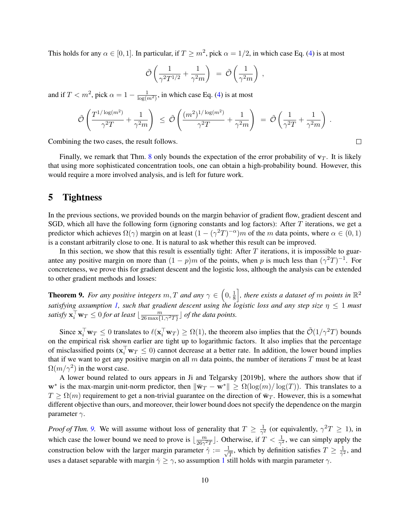This holds for any  $\alpha \in [0,1]$ . In particular, if  $T \geq m^2$ , pick  $\alpha = 1/2$ , in which case Eq. [\(4\)](#page-8-0) is at most

$$
\tilde{\mathcal{O}}\left(\frac{1}{\gamma^2 T^{1/2}} + \frac{1}{\gamma^2 m}\right) = \tilde{\mathcal{O}}\left(\frac{1}{\gamma^2 m}\right) ,
$$

and if  $T < m^2$ , pick  $\alpha = 1 - \frac{1}{\log(m^2)}$ , in which case Eq. [\(4\)](#page-8-0) is at most

$$
\tilde{\mathcal{O}}\left(\frac{T^{1/\log(m^2)}}{\gamma^2 T}+\frac{1}{\gamma^2 m}\right) \;\leq\; \tilde{\mathcal{O}}\left(\frac{(m^2)^{1/\log(m^2)}}{\gamma^2 T}+\frac{1}{\gamma^2 m}\right) \;=\; \tilde{\mathcal{O}}\left(\frac{1}{\gamma^2 T}+\frac{1}{\gamma^2 m}\right) \;.
$$

Combining the two cases, the result follows.

Finally, we remark that Thm. [8](#page-8-1) only bounds the expectation of the error probability of  $v_T$ . It is likely that using more sophisticated concentration tools, one can obtain a high-probability bound. However, this would require a more involved analysis, and is left for future work.

### <span id="page-9-0"></span>5 Tightness

In the previous sections, we provided bounds on the margin behavior of gradient flow, gradient descent and SGD, which all have the following form (ignoring constants and log factors): After  $T$  iterations, we get a predictor which achieves  $\Omega(\gamma)$  margin on at least  $(1 - (\gamma^2 T)^{-\alpha})m$  of the m data points, where  $\alpha \in (0,1)$ is a constant arbitrarily close to one. It is natural to ask whether this result can be improved.

In this section, we show that this result is essentially tight: After  $T$  iterations, it is impossible to guarantee any positive margin on more than  $(1 - p)m$  of the points, when p is much less than  $(\gamma^2 T)^{-1}$ . For concreteness, we prove this for gradient descent and the logistic loss, although the analysis can be extended to other gradient methods and losses:

<span id="page-9-1"></span>**Theorem 9.** For any positive integers  $m, T$  and any  $\gamma \in (0, \frac{1}{8})$  $\frac{1}{8}$ , there exists a dataset of  $m$  points in  $\mathbb{R}^2$ *satisfying assumption [1,](#page-2-2) such that gradient descent using the logistic loss and any step size* η ≤ 1 *must* satisfy  $\mathbf{x}_i^\top \mathbf{w}_T \leq 0$  for at least  $\lfloor \frac{m}{26 \max\{1, \gamma^2 T\}} \rfloor$  of the data points.

Since  $\mathbf{x}_i^{\top} \mathbf{w}_T \leq 0$  translates to  $\ell(\mathbf{x}_i^{\top} \mathbf{w}_T) \geq \Omega(1)$ , the theorem also implies that the  $\tilde{\mathcal{O}}(1/\gamma^2 T)$  bounds on the empirical risk shown earlier are tight up to logarithmic factors. It also implies that the percentage of misclassified points ( $\mathbf{x}_i^{\top} \mathbf{w}_T \leq 0$ ) cannot decrease at a better rate. In addition, the lower bound implies that if we want to get any positive margin on all  $m$  data points, the number of iterations  $T$  must be at least  $\Omega(m/\gamma^2)$  in the worst case.

A lower bound related to ours appears in [Ji and Telgarsky](#page-11-2) [\[2019b\]](#page-11-2), where the authors show that if w<sup>∗</sup> is the max-margin unit-norm predictor, then  $\|\bar{\mathbf{w}}_T - \mathbf{w}^*\| \ge \Omega(\log(m)/\log(T))$ . This translates to a  $T \geq \Omega(m)$  requirement to get a non-trivial guarantee on the direction of  $\bar{w}_T$ . However, this is a somewhat different objective than ours, and moreover, their lower bound does not specify the dependence on the margin parameter  $\gamma$ .

*Proof of Thm.* [9.](#page-9-1) We will assume without loss of generality that  $T \geq \frac{1}{\sqrt{2}}$  $\frac{1}{\gamma^2}$  (or equivalently,  $\gamma^2 T \geq 1$ ), in which case the lower bound we need to prove is  $\frac{m}{26\alpha^2}$  $\frac{m}{26\gamma^2T}$ . Otherwise, if  $T < \frac{1}{\gamma^2}$ , we can simply apply the construction below with the larger margin parameter  $\hat{\gamma} := \frac{1}{\sqrt{2\pi}}$  $\frac{1}{T}$ , which by definition satisfies  $T \geq \frac{1}{\hat{\gamma}^2}$  $\frac{1}{\hat{\gamma}^2}$ , and uses a dataset separable with margin  $\hat{\gamma} \ge \gamma$ , so assumption [1](#page-2-2) still holds with margin parameter  $\gamma$ .

 $\Box$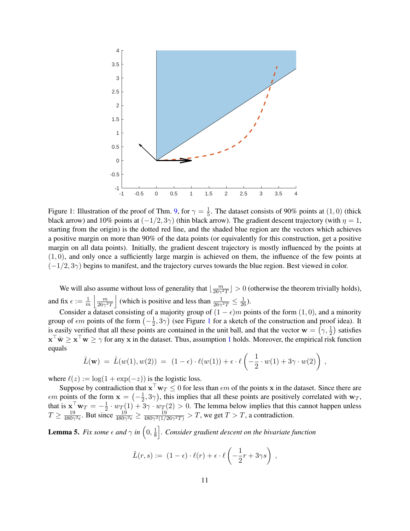

<span id="page-10-0"></span>Figure 1: Illustration of the proof of Thm. [9,](#page-9-1) for  $\gamma = \frac{1}{5}$  $\frac{1}{5}$ . The dataset consists of 90% points at  $(1,0)$  (thick black arrow) and 10% points at  $(-1/2, 3\gamma)$  (thin black arrow). The gradient descent trajectory (with  $\eta = 1$ , starting from the origin) is the dotted red line, and the shaded blue region are the vectors which achieves a positive margin on more than 90% of the data points (or equivalently for this construction, get a positive margin on all data points). Initially, the gradient descent trajectory is mostly influenced by the points at  $(1, 0)$ , and only once a sufficiently large margin is achieved on them, the influence of the few points at  $(-1/2, 3\gamma)$  begins to manifest, and the trajectory curves towards the blue region. Best viewed in color.

We will also assume without loss of generality that  $\frac{m}{26\alpha^2}$  $\frac{m}{26\gamma^2T}$  > 0 (otherwise the theorem trivially holds), and fix  $\epsilon := \frac{1}{m} \left| \frac{m}{26\gamma^2} \right|$  $\frac{m}{26\gamma^2T}$  (which is positive and less than  $\frac{1}{26\gamma^2T} \leq \frac{1}{26}$ ).

Consider a dataset consisting of a majority group of  $(1 - \epsilon)m$  points of the form  $(1, 0)$ , and a minority group of  $\epsilon m$  points of the form  $\left(-\frac{1}{2}\right)$  $(\frac{1}{2}, 3\gamma)$  $(\frac{1}{2}, 3\gamma)$  $(\frac{1}{2}, 3\gamma)$  (see Figure 1 for a sketch of the construction and proof idea). It is easily verified that all these points are contained in the unit ball, and that the vector  $\mathbf{w} = (\gamma, \frac{1}{2})$  satisfies  $\mathbf{x}^\top \bar{\mathbf{w}} \geq \mathbf{x}^\top \mathbf{w} \geq \gamma$  for any x in the dataset. Thus, assumption [1](#page-2-2) holds. Moreover, the empirical risk function equals

$$
\hat{L}(\mathbf{w}) = \hat{L}(w(1), w(2)) = (1 - \epsilon) \cdot \ell(w(1)) + \epsilon \cdot \ell\left(-\frac{1}{2} \cdot w(1) + 3\gamma \cdot w(2)\right),
$$

where  $\ell(z) := \log(1 + \exp(-z))$  is the logistic loss.

Suppose by contradiction that  $x^{\top}w_T \leq 0$  for less than  $\epsilon m$  of the points x in the dataset. Since there are  $\epsilon m$  points of the form  $\mathbf{x} = \left(-\frac{1}{2}\right)$  $(\frac{1}{2}, 3\gamma)$ , this implies that all these points are positively correlated with  $w_T$ , that is  $\mathbf{x}^\top \mathbf{w}_T = -\frac{1}{2}$  $\frac{1}{2} \cdot w_T(1) + 3\gamma \cdot w_T(2) > 0$ . The lemma below implies that this cannot happen unless  $T \geq \frac{19}{4808}$  $\frac{19}{480\gamma^2\epsilon}$ . But since  $\frac{19}{480\gamma^2\epsilon} \ge \frac{19}{480\gamma^2(1/2)}$  $\frac{19}{480\gamma^2(1/26\gamma^2T)} > T$ , we get  $T > T$ , a contradiction.

<span id="page-10-1"></span>**Lemma 5.** *Fix some*  $\epsilon$  *and*  $\gamma$  *in*  $\left(0, \frac{1}{8}\right)$  $\frac{1}{8}$   $\Big\}$ . Consider gradient descent on the bivariate function

$$
\hat{L}(r,s) := (1-\epsilon) \cdot \ell(r) + \epsilon \cdot \ell\left(-\frac{1}{2}r + 3\gamma s\right) ,
$$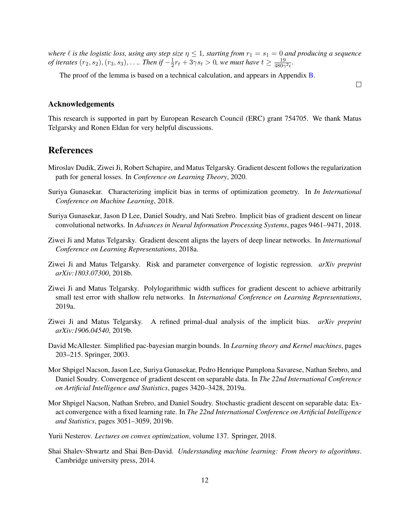*where*  $\ell$  *is the logistic loss, using any step size*  $\eta \leq 1$ *, starting from*  $r_1 = s_1 = 0$  *and producing a sequence* of iterates  $(r_2,s_2),(r_3,s_3),\ldots$  . Then if  $-\frac{1}{2}$  $\frac{1}{2}r_t + 3\gamma s_t > 0$ , we must have  $t \geq \frac{19}{480\gamma}$  $\frac{19}{480\gamma^2\epsilon}$ .

The proof of the lemma is based on a technical calculation, and appears in Appendix [B.](#page-13-0)

 $\Box$ 

#### Acknowledgements

This research is supported in part by European Research Council (ERC) grant 754705. We thank Matus Telgarsky and Ronen Eldan for very helpful discussions.

### **References**

- <span id="page-11-3"></span>Miroslav Dudik, Ziwei Ji, Robert Schapire, and Matus Telgarsky. Gradient descent follows the regularization path for general losses. In *Conference on Learning Theory*, 2020.
- <span id="page-11-5"></span>Suriya Gunasekar. Characterizing implicit bias in terms of optimization geometry. In *In International Conference on Machine Learning*, 2018.
- <span id="page-11-8"></span>Suriya Gunasekar, Jason D Lee, Daniel Soudry, and Nati Srebro. Implicit bias of gradient descent on linear convolutional networks. In *Advances in Neural Information Processing Systems*, pages 9461–9471, 2018.
- <span id="page-11-6"></span>Ziwei Ji and Matus Telgarsky. Gradient descent aligns the layers of deep linear networks. In *International Conference on Learning Representations*, 2018a.
- <span id="page-11-0"></span>Ziwei Ji and Matus Telgarsky. Risk and parameter convergence of logistic regression. *arXiv preprint arXiv:1803.07300*, 2018b.
- <span id="page-11-7"></span>Ziwei Ji and Matus Telgarsky. Polylogarithmic width suffices for gradient descent to achieve arbitrarily small test error with shallow relu networks. In *International Conference on Learning Representations*, 2019a.
- <span id="page-11-2"></span>Ziwei Ji and Matus Telgarsky. A refined primal-dual analysis of the implicit bias. *arXiv preprint arXiv:1906.04540*, 2019b.
- <span id="page-11-10"></span>David McAllester. Simplified pac-bayesian margin bounds. In *Learning theory and Kernel machines*, pages 203–215. Springer, 2003.
- <span id="page-11-1"></span>Mor Shpigel Nacson, Jason Lee, Suriya Gunasekar, Pedro Henrique Pamplona Savarese, Nathan Srebro, and Daniel Soudry. Convergence of gradient descent on separable data. In *The 22nd International Conference on Artificial Intelligence and Statistics*, pages 3420–3428, 2019a.
- <span id="page-11-4"></span>Mor Shpigel Nacson, Nathan Srebro, and Daniel Soudry. Stochastic gradient descent on separable data: Exact convergence with a fixed learning rate. In *The 22nd International Conference on Artificial Intelligence and Statistics*, pages 3051–3059, 2019b.
- <span id="page-11-9"></span>Yurii Nesterov. *Lectures on convex optimization*, volume 137. Springer, 2018.
- <span id="page-11-11"></span>Shai Shalev-Shwartz and Shai Ben-David. *Understanding machine learning: From theory to algorithms*. Cambridge university press, 2014.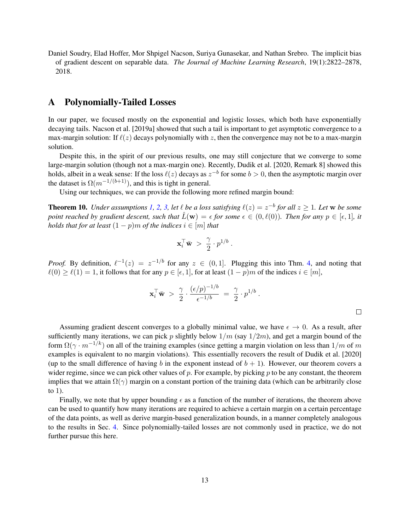<span id="page-12-0"></span>Daniel Soudry, Elad Hoffer, Mor Shpigel Nacson, Suriya Gunasekar, and Nathan Srebro. The implicit bias of gradient descent on separable data. *The Journal of Machine Learning Research*, 19(1):2822–2878, 2018.

### <span id="page-12-1"></span>A Polynomially-Tailed Losses

In our paper, we focused mostly on the exponential and logistic losses, which both have exponentially decaying tails. [Nacson et al.](#page-11-1) [\[2019a\]](#page-11-1) showed that such a tail is important to get asymptotic convergence to a max-margin solution: If  $\ell(z)$  decays polynomially with z, then the convergence may not be to a max-margin solution.

Despite this, in the spirit of our previous results, one may still conjecture that we converge to some large-margin solution (though not a max-margin one). Recently, [Dudik et al.](#page-11-3) [\[2020,](#page-11-3) Remark 8] showed this holds, albeit in a weak sense: If the loss  $\ell(z)$  decays as  $z^{-b}$  for some  $b > 0$ , then the asymptotic margin over the dataset is  $\Omega(m^{-1/(b+1)})$ , and this is tight in general.

Using our techniques, we can provide the following more refined margin bound:

**Theorem 10.** *Under assumptions* [1,](#page-2-2) [2,](#page-2-3) [3,](#page-6-1) let  $\ell$  be a loss satisfying  $\ell(z) = z^{-b}$  for all  $z \ge 1$ . Let we be some *point reached by gradient descent, such that*  $\hat{L}(\mathbf{w}) = \epsilon$  for some  $\epsilon \in (0, \ell(0))$ *. Then for any*  $p \in [\epsilon, 1]$ *, it holds that for at least*  $(1 - p)m$  *of the indices*  $i \in [m]$  *that* 

$$
\mathbf{x}_i^{\top} \bar{\mathbf{w}} > \frac{\gamma}{2} \cdot p^{1/b} .
$$

*Proof.* By definition,  $\ell^{-1}(z) = z^{-1/b}$  for any  $z \in (0, 1]$ . Plugging this into Thm. [4,](#page-6-4) and noting that  $\ell(0) \geq \ell(1) = 1$ , it follows that for any  $p \in [\epsilon, 1]$ , for at least  $(1 - p)m$  of the indices  $i \in [m]$ ,

$$
\mathbf{x}_i^{\top} \bar{\mathbf{w}} > \frac{\gamma}{2} \cdot \frac{(\epsilon/p)^{-1/b}}{\epsilon^{-1/b}} = \frac{\gamma}{2} \cdot p^{1/b} .
$$

 $\Box$ 

Assuming gradient descent converges to a globally minimal value, we have  $\epsilon \to 0$ . As a result, after sufficiently many iterations, we can pick p slightly below  $1/m$  (say  $1/2m$ ), and get a margin bound of the form  $\Omega(\gamma \cdot m^{-1/k})$  on all of the training examples (since getting a margin violation on less than  $1/m$  of m examples is equivalent to no margin violations). This essentially recovers the result of [Dudik et al.](#page-11-3) [\[2020\]](#page-11-3) (up to the small difference of having b in the exponent instead of  $b + 1$ ). However, our theorem covers a wider regime, since we can pick other values of  $p$ . For example, by picking  $p$  to be any constant, the theorem implies that we attain  $\Omega(\gamma)$  margin on a constant portion of the training data (which can be arbitrarily close to 1).

Finally, we note that by upper bounding  $\epsilon$  as a function of the number of iterations, the theorem above can be used to quantify how many iterations are required to achieve a certain margin on a certain percentage of the data points, as well as derive margin-based generalization bounds, in a manner completely analogous to the results in Sec. [4.](#page-6-0) Since polynomially-tailed losses are not commonly used in practice, we do not further pursue this here.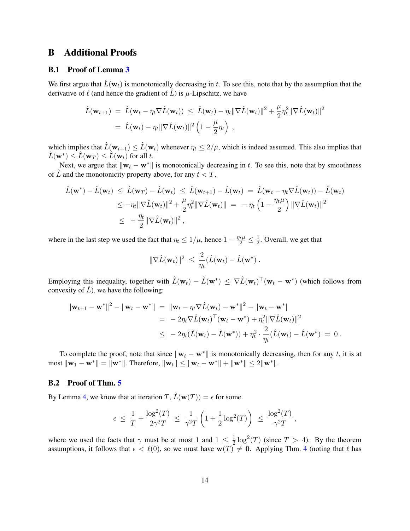### <span id="page-13-0"></span>B Additional Proofs

#### B.1 Proof of Lemma [3](#page-6-2)

We first argue that  $\hat{L}(\mathbf{w}_t)$  is monotonically decreasing in t. To see this, note that by the assumption that the derivative of  $\ell$  (and hence the gradient of  $\hat{L}$ ) is  $\mu$ -Lipschitz, we have

$$
\hat{L}(\mathbf{w}_{t+1}) = \hat{L}(\mathbf{w}_t - \eta_t \nabla \hat{L}(\mathbf{w}_t)) \leq \hat{L}(\mathbf{w}_t) - \eta_t \|\nabla \hat{L}(\mathbf{w}_t)\|^2 + \frac{\mu}{2} \eta_t^2 \|\nabla \hat{L}(\mathbf{w}_t)\|^2
$$
  
=  $\hat{L}(\mathbf{w}_t) - \eta_t \|\nabla \hat{L}(\mathbf{w}_t)\|^2 \left(1 - \frac{\mu}{2} \eta_t\right)$ ,

which implies that  $\hat{L}(\mathbf{w}_{t+1}) \leq \hat{L}(\mathbf{w}_t)$  whenever  $\eta_t \leq 2/\mu$ , which is indeed assumed. This also implies that  $\hat{L}(\mathbf{w}^*) \leq \hat{L}(\mathbf{w}_T) \leq \hat{L}(\mathbf{w}_t)$  for all  $t.$ 

Next, we argue that  $\|\mathbf{w}_t - \mathbf{w}^*\|$  is monotonically decreasing in t. To see this, note that by smoothness of  $\hat{L}$  and the monotonicity property above, for any  $t < T$ ,

$$
\hat{L}(\mathbf{w}^*) - \hat{L}(\mathbf{w}_t) \leq \hat{L}(\mathbf{w}_T) - \hat{L}(\mathbf{w}_t) \leq \hat{L}(\mathbf{w}_{t+1}) - \hat{L}(\mathbf{w}_t) = \hat{L}(\mathbf{w}_t - \eta_t \nabla \hat{L}(\mathbf{w}_t)) - \hat{L}(\mathbf{w}_t)
$$
\n
$$
\leq -\eta_t \|\nabla \hat{L}(\mathbf{w}_t)\|^2 + \frac{\mu}{2} \eta_t^2 \|\nabla \hat{L}(\mathbf{w}_t)\| = -\eta_t \left(1 - \frac{\eta_t \mu}{2}\right) \|\nabla \hat{L}(\mathbf{w}_t)\|^2
$$
\n
$$
\leq -\frac{\eta_t}{2} \|\nabla \hat{L}(\mathbf{w}_t)\|^2,
$$

where in the last step we used the fact that  $\eta_t \leq 1/\mu$ , hence  $1 - \frac{\eta_t \mu}{2} \leq \frac{1}{2}$  $\frac{1}{2}$ . Overall, we get that

$$
\|\nabla \hat{L}(\mathbf{w}_t)\|^2 \ \leq \ \frac{2}{\eta_t}(\hat{L}(\mathbf{w}_t) - \hat{L}(\mathbf{w}^*) \ .
$$

Employing this inequality, together with  $\hat{L}(\mathbf{w}_t) - \hat{L}(\mathbf{w}^*) \leq \nabla \hat{L}(\mathbf{w}_t)^\top (\mathbf{w}_t - \mathbf{w}^*)$  (which follows from convexity of  $\hat{L}$ ), we have the following:

$$
\|\mathbf{w}_{t+1} - \mathbf{w}^*\|^2 - \|\mathbf{w}_t - \mathbf{w}^*\| = \|\mathbf{w}_t - \eta_t \nabla \hat{L}(\mathbf{w}_t) - \mathbf{w}^*\|^2 - \|\mathbf{w}_t - \mathbf{w}^*\|
$$
  
\n
$$
= -2\eta_t \nabla \hat{L}(\mathbf{w}_t)^\top (\mathbf{w}_t - \mathbf{w}^*) + \eta_t^2 \|\nabla \hat{L}(\mathbf{w}_t)\|^2
$$
  
\n
$$
\leq -2\eta_t (\hat{L}(\mathbf{w}_t) - \hat{L}(\mathbf{w}^*)) + \eta_t^2 \cdot \frac{2}{\eta_t} (\hat{L}(\mathbf{w}_t) - \hat{L}(\mathbf{w}^*)) = 0.
$$

To complete the proof, note that since  $\|\mathbf{w}_t - \mathbf{w}^*\|$  is monotonically decreasing, then for any t, it is at most  $\|\mathbf{w}_1 - \mathbf{w}^*\| = \|\mathbf{w}^*\|$ . Therefore,  $\|\mathbf{w}_t\| \le \|\mathbf{w}_t - \mathbf{w}^*\| + \|\mathbf{w}^*\| \le 2\|\mathbf{w}^*\|$ .

#### B.2 Proof of Thm. [5](#page-6-5)

By Lemma [4,](#page-6-3) we know that at iteration  $T$ ,  $\hat{L}(\mathbf{w}(T)) = \epsilon$  for some

$$
\epsilon \ \leq \ \frac{1}{T} + \frac{\log^2(T)}{2\gamma^2 T} \ \leq \ \frac{1}{\gamma^2 T} \left( 1 + \frac{1}{2} \log^2(T) \right) \ \leq \ \frac{\log^2(T)}{\gamma^2 T} \ ,
$$

where we used the facts that  $\gamma$  must be at most 1 and  $1 \leq \frac{1}{2}$  $\frac{1}{2} \log^2(T)$  (since  $T > 4$ ). By the theorem assumptions, it follows that  $\epsilon < \ell(0)$ , so we must have  $w(T) \neq 0$ . Applying Thm. [4](#page-6-4) (noting that  $\ell$  has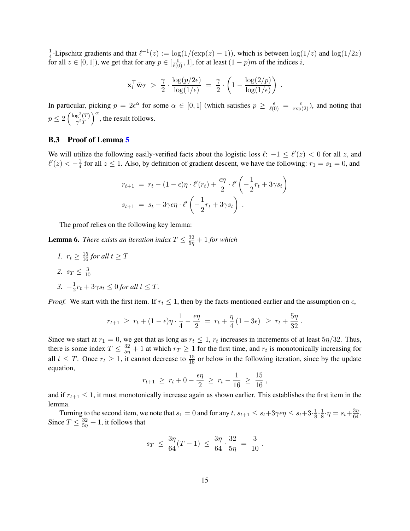$\frac{1}{4}$ -Lipschitz gradients and that  $\ell^{-1}(z) := \log(1/(\exp(z) - 1))$ , which is between  $\log(1/z)$  and  $\log(1/2z)$  $\frac{1}{4}$ -Lipscintz gradients and that  $\ell$  (2)  $\ell = \log(1/(\exp(2)-1))$ , which is between  $\log(\ell)$  for all  $z \in [0, 1]$ ), we get that for any  $p \in [\frac{\ell}{\ell(0)}, 1]$ , for at least  $(1 - p)m$  of the indices i,

$$
\mathbf{x}_i^{\top} \bar{\mathbf{w}}_T > \frac{\gamma}{2} \cdot \frac{\log(p/2\epsilon)}{\log(1/\epsilon)} = \frac{\gamma}{2} \cdot \left(1 - \frac{\log(2/p)}{\log(1/\epsilon)}\right)
$$

.

In particular, picking  $p = 2e^{\alpha}$  for some  $\alpha \in [0,1]$  (which satisfies  $p \ge \frac{\epsilon}{\ell(0)} = \frac{\epsilon}{\exp(2)}$ ), and noting that  $p \leq 2 \left(\frac{\log^2(T)}{2\sigma^2}\right)$  $\frac{g^2(T)}{\gamma^2 T}$   $\Big)^\alpha$ , the result follows.

### B.3 Proof of Lemma [5](#page-10-1)

We will utilize the following easily-verified facts about the logistic loss  $\ell: -1 \leq \ell'(z) < 0$  for all z, and  $\ell'(z) < -\frac{1}{4}$  $\frac{1}{4}$  for all  $z \le 1$ . Also, by definition of gradient descent, we have the following:  $r_1 = s_1 = 0$ , and

$$
r_{t+1} = r_t - (1 - \epsilon)\eta \cdot \ell'(r_t) + \frac{\epsilon \eta}{2} \cdot \ell' \left( -\frac{1}{2}r_t + 3\gamma s_t \right)
$$

$$
s_{t+1} = s_t - 3\gamma \epsilon \eta \cdot \ell' \left( -\frac{1}{2}r_t + 3\gamma s_t \right).
$$

The proof relies on the following key lemma:

**Lemma 6.** *There exists an iteration index*  $T \leq \frac{32}{5\eta} + 1$  *for which* 

*1.*  $r_t \geq \frac{15}{16}$  for all  $t \geq T$ 2.  $s_T \leq \frac{3}{10}$ 10  $3. -\frac{1}{2}$  $\frac{1}{2}r_t + 3\gamma s_t \leq 0$  for all  $t \leq T$ .

*Proof.* We start with the first item. If  $r_t \leq 1$ , then by the facts mentioned earlier and the assumption on  $\epsilon$ ,

$$
r_{t+1} \geq r_t + (1 - \epsilon)\eta \cdot \frac{1}{4} - \frac{\epsilon \eta}{2} = r_t + \frac{\eta}{4} (1 - 3\epsilon) \geq r_t + \frac{5\eta}{32}.
$$

Since we start at  $r_1 = 0$ , we get that as long as  $r_t \leq 1$ ,  $r_t$  increases in increments of at least  $5\eta/32$ . Thus, there is some index  $T \le \frac{32}{5\eta} + 1$  at which  $r_T \ge 1$  for the first time, and  $r_t$  is monotonically increasing for all  $t \leq T$ . Once  $r_t \geq 1$ , it cannot decrease to  $\frac{15}{16}$  or below in the following iteration, since by the update equation,

$$
r_{t+1} \geq r_t + 0 - \frac{\epsilon \eta}{2} \geq r_t - \frac{1}{16} \geq \frac{15}{16},
$$

and if  $r_{t+1} \leq 1$ , it must monotonically increase again as shown earlier. This establishes the first item in the lemma.

Turning to the second item, we note that  $s_1 = 0$  and for any  $t, s_{t+1} \leq s_t + 3\gamma \epsilon \eta \leq s_t + 3 \cdot \frac{1}{8}$  $\frac{1}{8} \cdot \frac{1}{8}$  $\frac{1}{8} \cdot \eta = s_t + \frac{3\eta}{64}.$ Since  $T \leq \frac{32}{5\eta} + 1$ , it follows that

$$
s_T \ \leq \ \frac{3\eta}{64}(T-1) \ \leq \ \frac{3\eta}{64} \cdot \frac{32}{5\eta} \ = \ \frac{3}{10}
$$

.